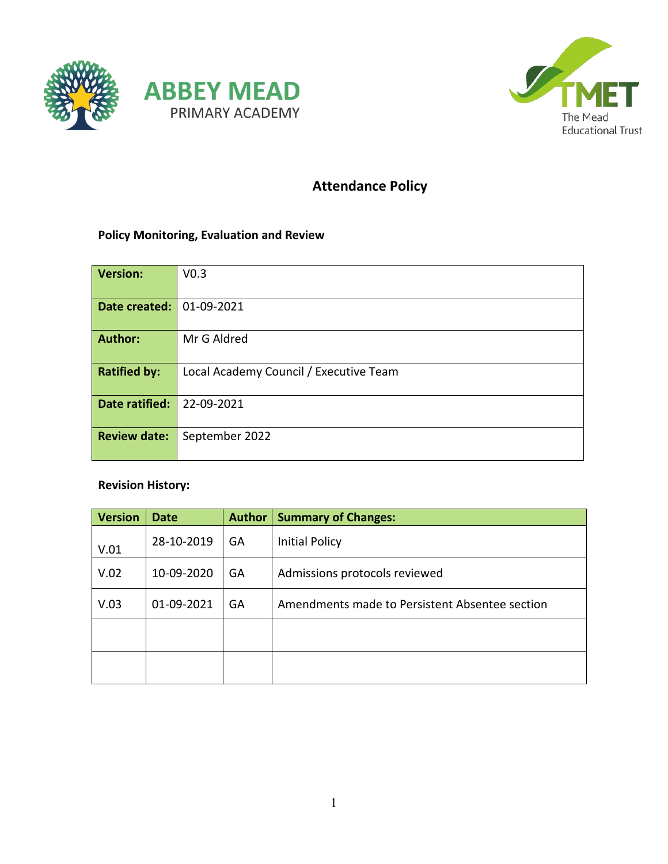



# **Attendance Policy**

#### **Policy Monitoring, Evaluation and Review**

| Version:            | V <sub>0.3</sub>                       |  |  |
|---------------------|----------------------------------------|--|--|
| Date created:       | 01-09-2021                             |  |  |
| <b>Author:</b>      | Mr G Aldred                            |  |  |
| <b>Ratified by:</b> | Local Academy Council / Executive Team |  |  |
| Date ratified:      | 22-09-2021                             |  |  |
| <b>Review date:</b> | September 2022                         |  |  |

#### **Revision History:**

| <b>Version</b> | <b>Date</b> | <b>Author</b> | <b>Summary of Changes:</b>                     |
|----------------|-------------|---------------|------------------------------------------------|
| V.01           | 28-10-2019  | GA            | <b>Initial Policy</b>                          |
| V.02           | 10-09-2020  | GA            | Admissions protocols reviewed                  |
| V.03           | 01-09-2021  | GA            | Amendments made to Persistent Absentee section |
|                |             |               |                                                |
|                |             |               |                                                |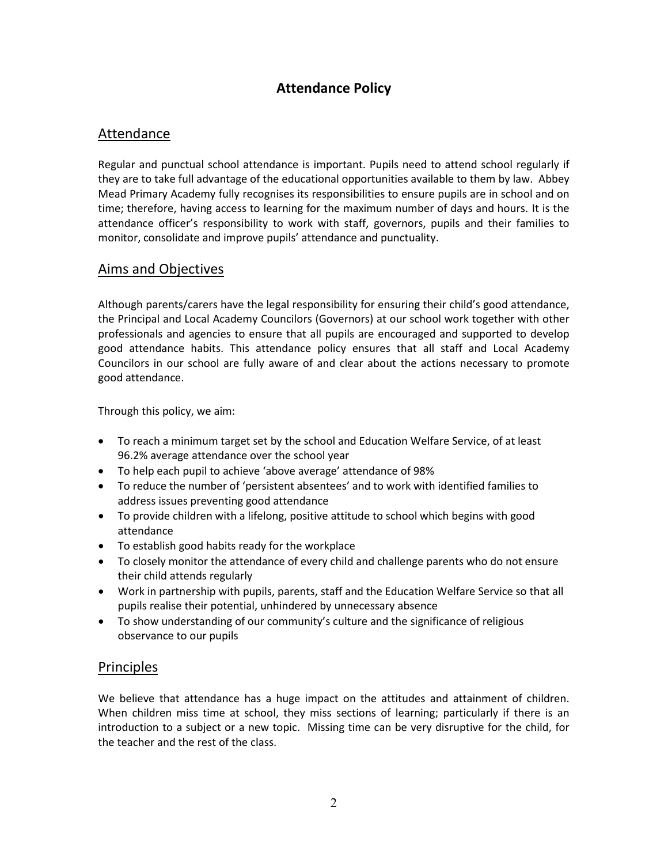## **Attendance Policy**

## Attendance

Regular and punctual school attendance is important. Pupils need to attend school regularly if they are to take full advantage of the educational opportunities available to them by law. Abbey Mead Primary Academy fully recognises its responsibilities to ensure pupils are in school and on time; therefore, having access to learning for the maximum number of days and hours. It is the attendance officer's responsibility to work with staff, governors, pupils and their families to monitor, consolidate and improve pupils' attendance and punctuality.

#### Aims and Objectives

Although parents/carers have the legal responsibility for ensuring their child's good attendance, the Principal and Local Academy Councilors (Governors) at our school work together with other professionals and agencies to ensure that all pupils are encouraged and supported to develop good attendance habits. This attendance policy ensures that all staff and Local Academy Councilors in our school are fully aware of and clear about the actions necessary to promote good attendance.

Through this policy, we aim:

- To reach a minimum target set by the school and Education Welfare Service, of at least 96.2% average attendance over the school year
- To help each pupil to achieve 'above average' attendance of 98%
- To reduce the number of 'persistent absentees' and to work with identified families to address issues preventing good attendance
- To provide children with a lifelong, positive attitude to school which begins with good attendance
- To establish good habits ready for the workplace
- To closely monitor the attendance of every child and challenge parents who do not ensure their child attends regularly
- Work in partnership with pupils, parents, staff and the Education Welfare Service so that all pupils realise their potential, unhindered by unnecessary absence
- To show understanding of our community's culture and the significance of religious observance to our pupils

#### Principles

We believe that attendance has a huge impact on the attitudes and attainment of children. When children miss time at school, they miss sections of learning; particularly if there is an introduction to a subject or a new topic. Missing time can be very disruptive for the child, for the teacher and the rest of the class.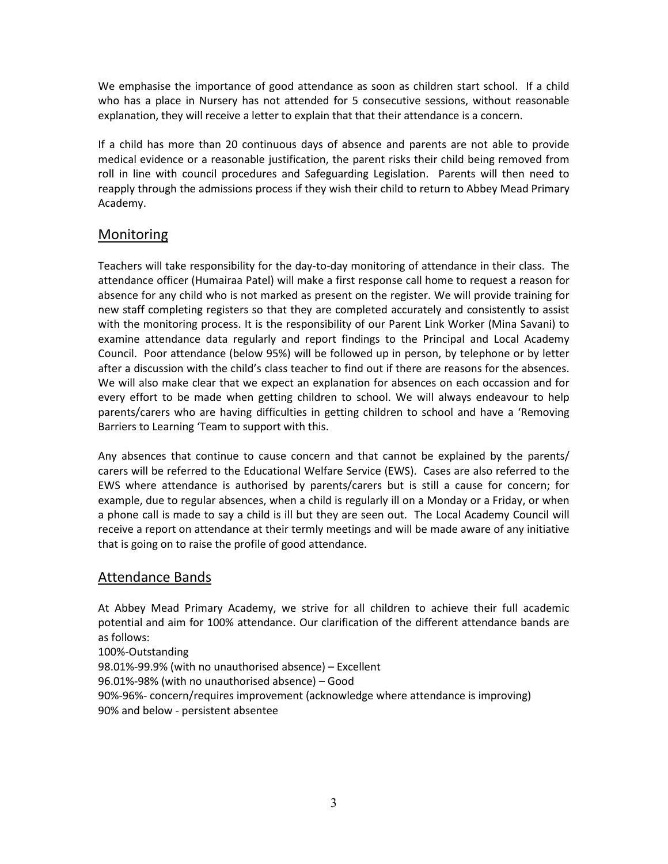We emphasise the importance of good attendance as soon as children start school. If a child who has a place in Nursery has not attended for 5 consecutive sessions, without reasonable explanation, they will receive a letter to explain that that their attendance is a concern.

If a child has more than 20 continuous days of absence and parents are not able to provide medical evidence or a reasonable justification, the parent risks their child being removed from roll in line with council procedures and Safeguarding Legislation. Parents will then need to reapply through the admissions process if they wish their child to return to Abbey Mead Primary Academy.

## Monitoring

Teachers will take responsibility for the day-to-day monitoring of attendance in their class. The attendance officer (Humairaa Patel) will make a first response call home to request a reason for absence for any child who is not marked as present on the register. We will provide training for new staff completing registers so that they are completed accurately and consistently to assist with the monitoring process. It is the responsibility of our Parent Link Worker (Mina Savani) to examine attendance data regularly and report findings to the Principal and Local Academy Council. Poor attendance (below 95%) will be followed up in person, by telephone or by letter after a discussion with the child's class teacher to find out if there are reasons for the absences. We will also make clear that we expect an explanation for absences on each occassion and for every effort to be made when getting children to school. We will always endeavour to help parents/carers who are having difficulties in getting children to school and have a 'Removing Barriers to Learning 'Team to support with this.

Any absences that continue to cause concern and that cannot be explained by the parents/ carers will be referred to the Educational Welfare Service (EWS). Cases are also referred to the EWS where attendance is authorised by parents/carers but is still a cause for concern; for example, due to regular absences, when a child is regularly ill on a Monday or a Friday, or when a phone call is made to say a child is ill but they are seen out. The Local Academy Council will receive a report on attendance at their termly meetings and will be made aware of any initiative that is going on to raise the profile of good attendance.

#### Attendance Bands

At Abbey Mead Primary Academy, we strive for all children to achieve their full academic potential and aim for 100% attendance. Our clarification of the different attendance bands are as follows:

100%-Outstanding 98.01%-99.9% (with no unauthorised absence) – Excellent 96.01%-98% (with no unauthorised absence) – Good 90%-96%- concern/requires improvement (acknowledge where attendance is improving) 90% and below - persistent absentee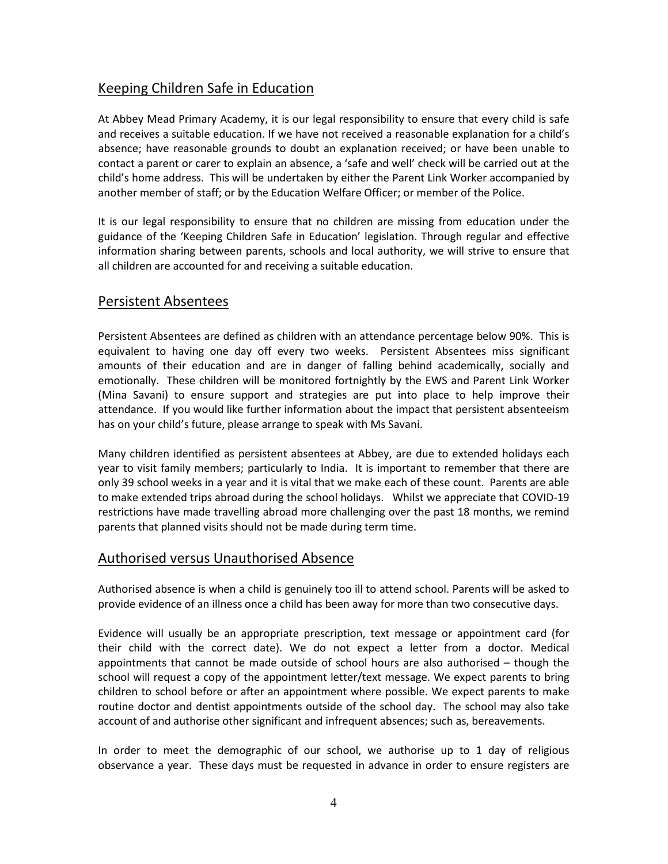# Keeping Children Safe in Education

At Abbey Mead Primary Academy, it is our legal responsibility to ensure that every child is safe and receives a suitable education. If we have not received a reasonable explanation for a child's absence; have reasonable grounds to doubt an explanation received; or have been unable to contact a parent or carer to explain an absence, a 'safe and well' check will be carried out at the child's home address. This will be undertaken by either the Parent Link Worker accompanied by another member of staff; or by the Education Welfare Officer; or member of the Police.

It is our legal responsibility to ensure that no children are missing from education under the guidance of the 'Keeping Children Safe in Education' legislation. Through regular and effective information sharing between parents, schools and local authority, we will strive to ensure that all children are accounted for and receiving a suitable education.

#### Persistent Absentees

Persistent Absentees are defined as children with an attendance percentage below 90%. This is equivalent to having one day off every two weeks. Persistent Absentees miss significant amounts of their education and are in danger of falling behind academically, socially and emotionally. These children will be monitored fortnightly by the EWS and Parent Link Worker (Mina Savani) to ensure support and strategies are put into place to help improve their attendance. If you would like further information about the impact that persistent absenteeism has on your child's future, please arrange to speak with Ms Savani.

Many children identified as persistent absentees at Abbey, are due to extended holidays each year to visit family members; particularly to India. It is important to remember that there are only 39 school weeks in a year and it is vital that we make each of these count. Parents are able to make extended trips abroad during the school holidays. Whilst we appreciate that COVID-19 restrictions have made travelling abroad more challenging over the past 18 months, we remind parents that planned visits should not be made during term time.

#### Authorised versus Unauthorised Absence

Authorised absence is when a child is genuinely too ill to attend school. Parents will be asked to provide evidence of an illness once a child has been away for more than two consecutive days.

Evidence will usually be an appropriate prescription, text message or appointment card (for their child with the correct date). We do not expect a letter from a doctor. Medical appointments that cannot be made outside of school hours are also authorised – though the school will request a copy of the appointment letter/text message. We expect parents to bring children to school before or after an appointment where possible. We expect parents to make routine doctor and dentist appointments outside of the school day. The school may also take account of and authorise other significant and infrequent absences; such as, bereavements.

In order to meet the demographic of our school, we authorise up to 1 day of religious observance a year. These days must be requested in advance in order to ensure registers are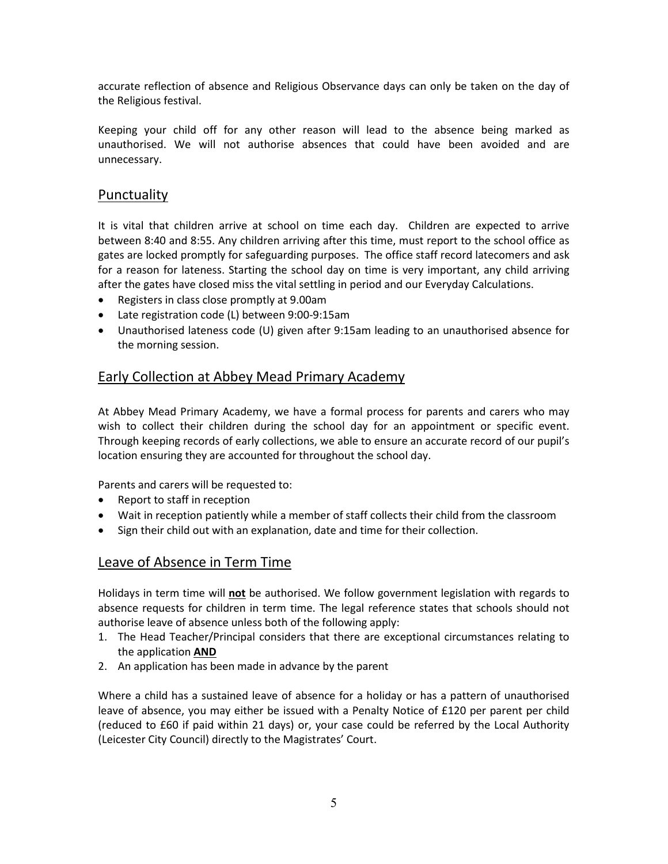accurate reflection of absence and Religious Observance days can only be taken on the day of the Religious festival.

Keeping your child off for any other reason will lead to the absence being marked as unauthorised. We will not authorise absences that could have been avoided and are unnecessary.

#### Punctuality

It is vital that children arrive at school on time each day. Children are expected to arrive between 8:40 and 8:55. Any children arriving after this time, must report to the school office as gates are locked promptly for safeguarding purposes. The office staff record latecomers and ask for a reason for lateness. Starting the school day on time is very important, any child arriving after the gates have closed miss the vital settling in period and our Everyday Calculations.

- Registers in class close promptly at 9.00am
- Late registration code (L) between 9:00-9:15am
- Unauthorised lateness code (U) given after 9:15am leading to an unauthorised absence for the morning session.

### Early Collection at Abbey Mead Primary Academy

At Abbey Mead Primary Academy, we have a formal process for parents and carers who may wish to collect their children during the school day for an appointment or specific event. Through keeping records of early collections, we able to ensure an accurate record of our pupil's location ensuring they are accounted for throughout the school day.

Parents and carers will be requested to:

- Report to staff in reception
- Wait in reception patiently while a member of staff collects their child from the classroom
- Sign their child out with an explanation, date and time for their collection.

#### Leave of Absence in Term Time

Holidays in term time will **not** be authorised. We follow government legislation with regards to absence requests for children in term time. The legal reference states that schools should not authorise leave of absence unless both of the following apply:

- 1. The Head Teacher/Principal considers that there are exceptional circumstances relating to the application **AND**
- 2. An application has been made in advance by the parent

Where a child has a sustained leave of absence for a holiday or has a pattern of unauthorised leave of absence, you may either be issued with a Penalty Notice of £120 per parent per child (reduced to £60 if paid within 21 days) or, your case could be referred by the Local Authority (Leicester City Council) directly to the Magistrates' Court.